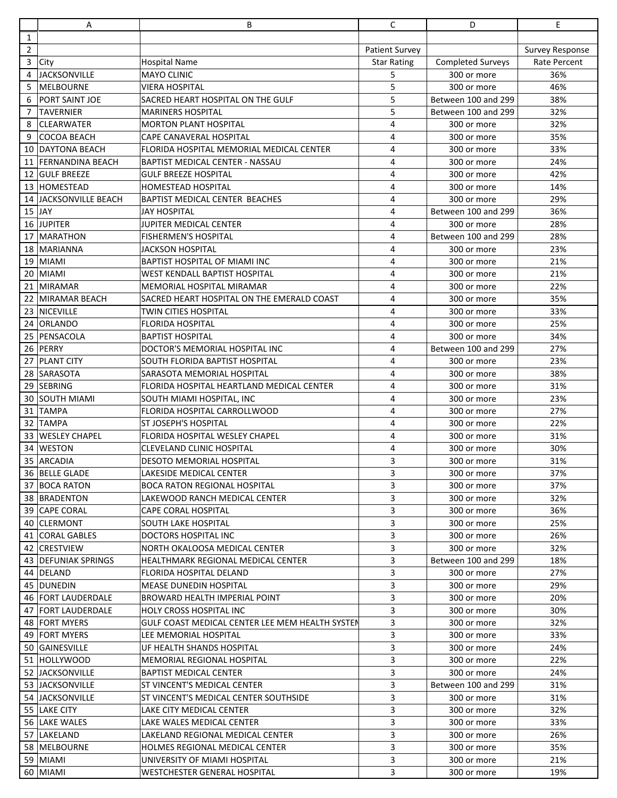|                | А                           | B                                               | C                     | D                        | E                      |
|----------------|-----------------------------|-------------------------------------------------|-----------------------|--------------------------|------------------------|
| $\mathbf{1}$   |                             |                                                 |                       |                          |                        |
| $\overline{2}$ |                             |                                                 | <b>Patient Survey</b> |                          | <b>Survey Response</b> |
| $\overline{3}$ | City                        | <b>Hospital Name</b>                            | <b>Star Rating</b>    | <b>Completed Surveys</b> | Rate Percent           |
| 4              | <b>JACKSONVILLE</b>         | <b>MAYO CLINIC</b>                              | 5                     | 300 or more              | 36%                    |
| 5              | MELBOURNE                   | <b>VIERA HOSPITAL</b>                           | 5                     | 300 or more              | 46%                    |
| 6              | PORT SAINT JOE              | SACRED HEART HOSPITAL ON THE GULF               | 5                     | Between 100 and 299      | 38%                    |
| 7              | <b>TAVERNIER</b>            | <b>MARINERS HOSPITAL</b>                        | 5                     | Between 100 and 299      | 32%                    |
| 8              | <b>CLEARWATER</b>           | <b>MORTON PLANT HOSPITAL</b>                    | 4                     | 300 or more              | 32%                    |
| 9              | <b>COCOA BEACH</b>          | CAPE CANAVERAL HOSPITAL                         | 4                     | 300 or more              | 35%                    |
| 10             | <b>DAYTONA BEACH</b>        | FLORIDA HOSPITAL MEMORIAL MEDICAL CENTER        | 4                     | 300 or more              | 33%                    |
| 11             | <b>FERNANDINA BEACH</b>     | <b>BAPTIST MEDICAL CENTER - NASSAU</b>          | 4                     | 300 or more              | 24%                    |
| 12             | <b>GULF BREEZE</b>          | <b>GULF BREEZE HOSPITAL</b>                     | 4                     | 300 or more              | 42%                    |
|                | 13 HOMESTEAD                | <b>HOMESTEAD HOSPITAL</b>                       | 4                     | 300 or more              | 14%                    |
| 14             | JACKSONVILLE BEACH          | <b>BAPTIST MEDICAL CENTER BEACHES</b>           | 4                     | 300 or more              | 29%                    |
|                | $15$ JAY                    | <b>JAY HOSPITAL</b>                             | 4                     | Between 100 and 299      | 36%                    |
|                | 16 JUPITER                  | JUPITER MEDICAL CENTER                          | 4                     | 300 or more              | 28%                    |
|                | 17 MARATHON                 | <b>FISHERMEN'S HOSPITAL</b>                     | 4                     | Between 100 and 299      | 28%                    |
|                | 18 MARIANNA                 | <b>JACKSON HOSPITAL</b>                         | 4                     | 300 or more              | 23%                    |
|                | 19 MIAMI                    | <b>BAPTIST HOSPITAL OF MIAMI INC</b>            | 4                     | 300 or more              | 21%                    |
|                | 20 MIAMI                    | WEST KENDALL BAPTIST HOSPITAL                   | 4                     | 300 or more              | 21%                    |
| 21             | <b>MIRAMAR</b>              | MEMORIAL HOSPITAL MIRAMAR                       | 4                     | 300 or more              | 22%                    |
| 22             | MIRAMAR BEACH               | SACRED HEART HOSPITAL ON THE EMERALD COAST      | 4                     | 300 or more              | 35%                    |
|                | 23 NICEVILLE                | TWIN CITIES HOSPITAL                            | 4                     | 300 or more              | 33%                    |
| 24             | <b>IORLANDO</b>             | <b>FLORIDA HOSPITAL</b>                         | 4                     | 300 or more              | 25%                    |
| 25             | PENSACOLA                   | <b>BAPTIST HOSPITAL</b>                         | 4                     | 300 or more              | 34%                    |
|                | 26 PERRY                    | DOCTOR'S MEMORIAL HOSPITAL INC                  | 4                     | Between 100 and 299      | 27%                    |
| 27             | <b>PLANT CITY</b>           | SOUTH FLORIDA BAPTIST HOSPITAL                  | 4                     | 300 or more              | 23%                    |
| 28             | <b>SARASOTA</b>             | SARASOTA MEMORIAL HOSPITAL                      | 4                     | 300 or more              | 38%                    |
|                | 29 SEBRING                  | FLORIDA HOSPITAL HEARTLAND MEDICAL CENTER       | 4                     | 300 or more              | 31%                    |
| 30             | <b>SOUTH MIAMI</b>          | SOUTH MIAMI HOSPITAL, INC                       | 4                     | 300 or more              | 23%                    |
| 31             | <b>TAMPA</b>                | FLORIDA HOSPITAL CARROLLWOOD                    | 4                     | 300 or more              | 27%                    |
|                | 32 TAMPA                    | <b>ST JOSEPH'S HOSPITAL</b>                     | 4                     | 300 or more              | 22%                    |
|                | 33 WESLEY CHAPEL            | FLORIDA HOSPITAL WESLEY CHAPEL                  | 4                     | 300 or more              | 31%                    |
|                | 34 WESTON                   | <b>CLEVELAND CLINIC HOSPITAL</b>                | 4                     | 300 or more              | 30%                    |
|                | 35 ARCADIA                  | <b>DESOTO MEMORIAL HOSPITAL</b>                 | 3                     | 300 or more              | 31%                    |
|                | 36 BELLE GLADE              | LAKESIDE MEDICAL CENTER                         | 3                     | 300 or more              | 37%                    |
|                | 37 BOCA RATON               | <b>BOCA RATON REGIONAL HOSPITAL</b>             | 3                     | 300 or more              | 37%                    |
|                | 38 BRADENTON                | LAKEWOOD RANCH MEDICAL CENTER                   | 3                     | 300 or more              | 32%                    |
|                | 39 CAPE CORAL               | CAPE CORAL HOSPITAL                             | 3                     | 300 or more              | 36%                    |
|                | 40 CLERMONT                 | SOUTH LAKE HOSPITAL                             | 3                     | 300 or more              | 25%                    |
|                | 41 CORAL GABLES             | DOCTORS HOSPITAL INC                            | 3                     | 300 or more              | 26%                    |
|                | 42 CRESTVIEW                | NORTH OKALOOSA MEDICAL CENTER                   | 3                     | 300 or more              | 32%                    |
|                | 43 <b>IDEFUNIAK SPRINGS</b> | HEALTHMARK REGIONAL MEDICAL CENTER              | 3                     | Between 100 and 299      | 18%                    |
|                | 44 DELAND                   | FLORIDA HOSPITAL DELAND                         | 3                     | 300 or more              | 27%                    |
|                | 45 DUNEDIN                  | <b>MEASE DUNEDIN HOSPITAL</b>                   | 3                     | 300 or more              | 29%                    |
|                | 46 FORT LAUDERDALE          | BROWARD HEALTH IMPERIAL POINT                   | 3                     | 300 or more              | 20%                    |
|                | 47 FORT LAUDERDALE          | <b>HOLY CROSS HOSPITAL INC</b>                  | 3                     | 300 or more              | 30%                    |
|                | 48 <b>FORT MYERS</b>        | GULF COAST MEDICAL CENTER LEE MEM HEALTH SYSTEN | 3                     | 300 or more              | 32%                    |
|                | 49 <b>FORT MYERS</b>        | LEE MEMORIAL HOSPITAL                           | 3                     | 300 or more              | 33%                    |
|                | 50 GAINESVILLE              | UF HEALTH SHANDS HOSPITAL                       | 3                     | 300 or more              | 24%                    |
|                | 51 HOLLYWOOD                | MEMORIAL REGIONAL HOSPITAL                      | 3                     | 300 or more              | 22%                    |
|                | 52 JJACKSONVILLE            | <b>BAPTIST MEDICAL CENTER</b>                   | 3                     | 300 or more              | 24%                    |
|                | 53 JACKSONVILLE             | <b>ST VINCENT'S MEDICAL CENTER</b>              | 3                     | Between 100 and 299      | 31%                    |
|                | 54 JACKSONVILLE             | ST VINCENT'S MEDICAL CENTER SOUTHSIDE           | 3                     | 300 or more              | 31%                    |
|                | 55 LAKE CITY                | LAKE CITY MEDICAL CENTER                        | 3                     | 300 or more              | 32%                    |
|                | 56 LAKE WALES               | LAKE WALES MEDICAL CENTER                       | 3                     | 300 or more              | 33%                    |
|                | 57  LAKELAND                | LAKELAND REGIONAL MEDICAL CENTER                | 3                     | 300 or more              | 26%                    |
|                | 58 MELBOURNE                | HOLMES REGIONAL MEDICAL CENTER                  | 3                     | 300 or more              | 35%                    |
|                | 59 MIAMI                    | UNIVERSITY OF MIAMI HOSPITAL                    | 3                     | 300 or more              | 21%                    |
|                | 60 MIAMI                    | WESTCHESTER GENERAL HOSPITAL                    | 3                     | 300 or more              | 19%                    |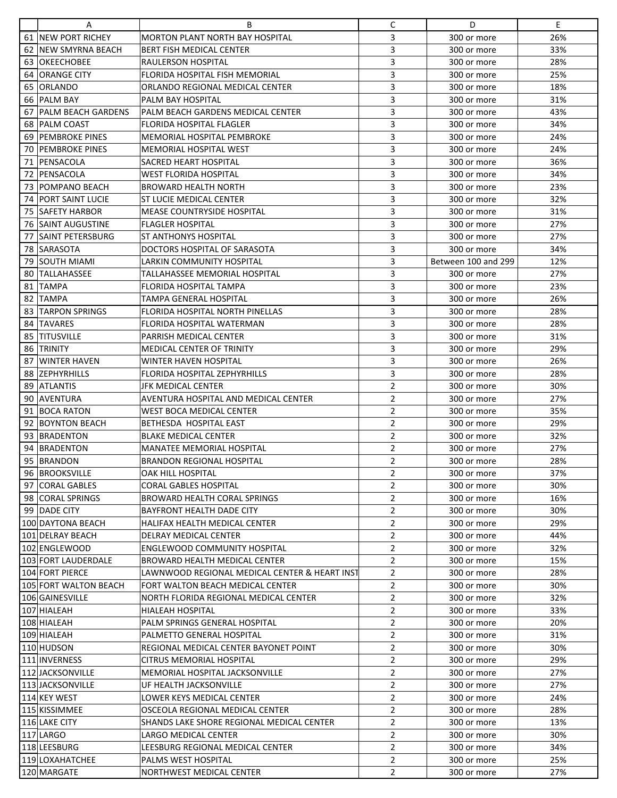|    | Α                            | B                                                                       | С                                | D                          | E   |
|----|------------------------------|-------------------------------------------------------------------------|----------------------------------|----------------------------|-----|
|    | 61 NEW PORT RICHEY           | <b>MORTON PLANT NORTH BAY HOSPITAL</b>                                  | 3                                | 300 or more                | 26% |
|    | 62 INEW SMYRNA BEACH         | <b>BERT FISH MEDICAL CENTER</b>                                         | 3                                | 300 or more                | 33% |
|    | <b>63 OKEECHOBEE</b>         | RAULERSON HOSPITAL                                                      | 3                                | 300 or more                | 28% |
| 64 | <b>ORANGE CITY</b>           | <b>FLORIDA HOSPITAL FISH MEMORIAL</b>                                   | 3                                | 300 or more                | 25% |
| 65 | <b>IORLANDO</b>              | ORLANDO REGIONAL MEDICAL CENTER                                         | 3                                | 300 or more                | 18% |
|    | 66 PALM BAY                  | <b>PALM BAY HOSPITAL</b>                                                | 3                                | 300 or more                | 31% |
| 67 | <b>PALM BEACH GARDENS</b>    | PALM BEACH GARDENS MEDICAL CENTER                                       | 3                                | 300 or more                | 43% |
|    | 68 PALM COAST                | <b>FLORIDA HOSPITAL FLAGLER</b>                                         | 3                                | 300 or more                | 34% |
|    | 69 PEMBROKE PINES            | MEMORIAL HOSPITAL PEMBROKE                                              | 3                                | 300 or more                | 24% |
|    | <b>70 IPEMBROKE PINES</b>    | <b>MEMORIAL HOSPITAL WEST</b>                                           | 3                                | 300 or more                | 24% |
|    | 71 PENSACOLA                 | SACRED HEART HOSPITAL                                                   | 3                                | 300 or more                | 36% |
|    | 72 PENSACOLA                 | <b>WEST FLORIDA HOSPITAL</b>                                            | 3                                | 300 or more                | 34% |
|    | 73 POMPANO BEACH             | <b>BROWARD HEALTH NORTH</b>                                             | 3                                | 300 or more                | 23% |
|    | <b>74   PORT SAINT LUCIE</b> | ST LUCIE MEDICAL CENTER                                                 | 3                                | 300 or more                | 32% |
|    | 75 SAFETY HARBOR             | <b>MEASE COUNTRYSIDE HOSPITAL</b>                                       | 3                                | 300 or more                | 31% |
|    | <b>76 SAINT AUGUSTINE</b>    | <b>FLAGLER HOSPITAL</b>                                                 | 3                                | 300 or more                | 27% |
|    | <b>77 ISAINT PETERSBURG</b>  | <b>ST ANTHONYS HOSPITAL</b>                                             | 3                                | 300 or more                | 27% |
|    | 78 ISARASOTA                 | DOCTORS HOSPITAL OF SARASOTA                                            | 3                                | 300 or more                | 34% |
|    | 79 SOUTH MIAMI               | LARKIN COMMUNITY HOSPITAL                                               | 3                                | Between 100 and 299        | 12% |
|    | 80 TALLAHASSEE               | TALLAHASSEE MEMORIAL HOSPITAL                                           | 3                                | 300 or more                | 27% |
| 81 | <b>TAMPA</b>                 | <b>FLORIDA HOSPITAL TAMPA</b>                                           | 3                                | 300 or more                | 23% |
|    | 82 TAMPA                     | <b>TAMPA GENERAL HOSPITAL</b>                                           | 3                                | 300 or more                | 26% |
| 83 | <b>ITARPON SPRINGS</b>       | <b>FLORIDA HOSPITAL NORTH PINELLAS</b>                                  | 3                                | 300 or more                | 28% |
|    | 84 TAVARES                   | <b>FLORIDA HOSPITAL WATERMAN</b>                                        | 3                                | 300 or more                | 28% |
|    | 85 TITUSVILLE                | PARRISH MEDICAL CENTER                                                  | 3                                | 300 or more                | 31% |
|    | 86 TRINITY                   | <b>MEDICAL CENTER OF TRINITY</b>                                        | 3                                |                            | 29% |
|    | 87 IWINTER HAVEN             | <b>WINTER HAVEN HOSPITAL</b>                                            | 3                                | 300 or more<br>300 or more | 26% |
|    | 88 ZEPHYRHILLS               | <b>FLORIDA HOSPITAL ZEPHYRHILLS</b>                                     | 3                                | 300 or more                | 28% |
|    | 89 ATLANTIS                  | JFK MEDICAL CENTER                                                      | $\overline{2}$                   |                            | 30% |
|    |                              |                                                                         |                                  | 300 or more                |     |
|    | 90 <b>JAVENTURA</b>          | AVENTURA HOSPITAL AND MEDICAL CENTER<br><b>WEST BOCA MEDICAL CENTER</b> | $\overline{2}$<br>$\overline{2}$ | 300 or more                | 27% |
|    | 91 BOCA RATON                |                                                                         |                                  | 300 or more                | 35% |
|    | 92 BOYNTON BEACH             | <b>BETHESDA HOSPITAL EAST</b>                                           | $\overline{2}$                   | 300 or more                | 29% |
|    | 93 BRADENTON                 | <b>BLAKE MEDICAL CENTER</b>                                             | $\overline{2}$                   | 300 or more                | 32% |
|    | 94 BRADENTON                 | <b>MANATEE MEMORIAL HOSPITAL</b>                                        | $\overline{2}$                   | 300 or more                | 27% |
|    | 95 BRANDON                   | <b>BRANDON REGIONAL HOSPITAL</b>                                        | $\overline{2}$                   | 300 or more                | 28% |
|    | 96 BROOKSVILLE               | OAK HILL HOSPITAL                                                       | 2                                | 300 or more                | 37% |
|    | 97 CORAL GABLES              | <b>CORAL GABLES HOSPITAL</b>                                            | $\overline{2}$                   | 300 or more                | 30% |
|    | 98 CORAL SPRINGS             | <b>BROWARD HEALTH CORAL SPRINGS</b>                                     | $\overline{2}$                   | 300 or more                | 16% |
|    | 99 DADE CITY                 | <b>BAYFRONT HEALTH DADE CITY</b>                                        | $\overline{2}$                   | 300 or more                | 30% |
|    | 100 DAYTONA BEACH            | HALIFAX HEALTH MEDICAL CENTER                                           | $\overline{2}$                   | 300 or more                | 29% |
|    | 101 DELRAY BEACH             | DELRAY MEDICAL CENTER                                                   | $\overline{2}$                   | 300 or more                | 44% |
|    | 102 ENGLEWOOD                | ENGLEWOOD COMMUNITY HOSPITAL                                            | $\overline{2}$                   | 300 or more                | 32% |
|    | 103 FORT LAUDERDALE          | BROWARD HEALTH MEDICAL CENTER                                           | $\overline{2}$                   | 300 or more                | 15% |
|    | 104 FORT PIERCE              | LAWNWOOD REGIONAL MEDICAL CENTER & HEART INST                           | $\overline{2}$                   | 300 or more                | 28% |
|    | 105 FORT WALTON BEACH        | FORT WALTON BEACH MEDICAL CENTER                                        | $\overline{2}$                   | 300 or more                | 30% |
|    | 106 GAINESVILLE              | NORTH FLORIDA REGIONAL MEDICAL CENTER                                   | $\overline{2}$                   | 300 or more                | 32% |
|    | 107 HIALEAH                  | HIALEAH HOSPITAL                                                        | $\overline{2}$                   | 300 or more                | 33% |
|    | 108 HIALEAH                  | PALM SPRINGS GENERAL HOSPITAL                                           | $\overline{2}$                   | 300 or more                | 20% |
|    | 109 HIALEAH                  | PALMETTO GENERAL HOSPITAL                                               | $\overline{2}$                   | 300 or more                | 31% |
|    | 110 HUDSON                   | REGIONAL MEDICAL CENTER BAYONET POINT                                   | $\overline{2}$                   | 300 or more                | 30% |
|    | 111 INVERNESS                | CITRUS MEMORIAL HOSPITAL                                                | $\overline{2}$                   | 300 or more                | 29% |
|    | 112 JACKSONVILLE             | MEMORIAL HOSPITAL JACKSONVILLE                                          | $\overline{a}$                   | 300 or more                | 27% |
|    | 113 JACKSONVILLE             | UF HEALTH JACKSONVILLE                                                  | $\overline{a}$                   | 300 or more                | 27% |
|    | 114 KEY WEST                 | LOWER KEYS MEDICAL CENTER                                               | $\overline{2}$                   | 300 or more                | 24% |
|    | 115 KISSIMMEE                | OSCEOLA REGIONAL MEDICAL CENTER                                         | $\overline{2}$                   | 300 or more                | 28% |
|    | 116 LAKE CITY                | SHANDS LAKE SHORE REGIONAL MEDICAL CENTER                               | $\overline{2}$                   | 300 or more                | 13% |
|    | 117 LARGO                    | LARGO MEDICAL CENTER                                                    | $\overline{2}$                   | 300 or more                | 30% |
|    | 118 LEESBURG                 | LEESBURG REGIONAL MEDICAL CENTER                                        | $\overline{2}$                   | 300 or more                | 34% |
|    | 119 LOXAHATCHEE              | PALMS WEST HOSPITAL                                                     | $\overline{2}$                   | 300 or more                | 25% |
|    | 120 MARGATE                  | NORTHWEST MEDICAL CENTER                                                | $\overline{2}$                   | 300 or more                | 27% |